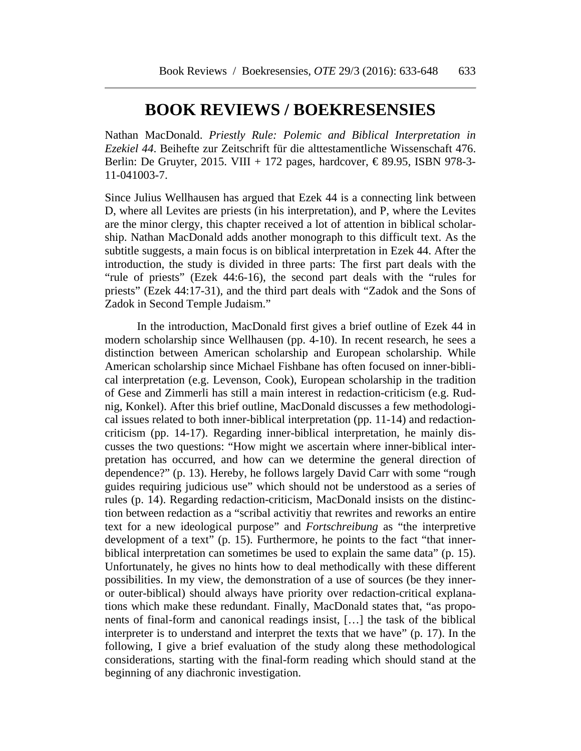## **BOOK REVIEWS / BOEKRESENSIES**

Nathan MacDonald. *Priestly Rule: Polemic and Biblical Interpretation in Ezekiel 44*. Beihefte zur Zeitschrift für die alttestamentliche Wissenschaft 476. Berlin: De Gruyter, 2015. VIII + 172 pages, hardcover,  $\epsilon$ 89.95, ISBN 978-3-11-041003-7.

Since Julius Wellhausen has argued that Ezek 44 is a connecting link between D, where all Levites are priests (in his interpretation), and P, where the Levites are the minor clergy, this chapter received a lot of attention in biblical scholarship. Nathan MacDonald adds another monograph to this difficult text. As the subtitle suggests, a main focus is on biblical interpretation in Ezek 44. After the introduction, the study is divided in three parts: The first part deals with the "rule of priests" (Ezek 44:6-16), the second part deals with the "rules for priests" (Ezek 44:17-31), and the third part deals with "Zadok and the Sons of Zadok in Second Temple Judaism."

In the introduction, MacDonald first gives a brief outline of Ezek 44 in modern scholarship since Wellhausen (pp. 4-10). In recent research, he sees a distinction between American scholarship and European scholarship. While American scholarship since Michael Fishbane has often focused on inner-biblical interpretation (e.g. Levenson, Cook), European scholarship in the tradition of Gese and Zimmerli has still a main interest in redaction-criticism (e.g. Rudnig, Konkel). After this brief outline, MacDonald discusses a few methodological issues related to both inner-biblical interpretation (pp. 11-14) and redactioncriticism (pp. 14-17). Regarding inner-biblical interpretation, he mainly discusses the two questions: "How might we ascertain where inner-biblical interpretation has occurred, and how can we determine the general direction of dependence?" (p. 13). Hereby, he follows largely David Carr with some "rough guides requiring judicious use" which should not be understood as a series of rules (p. 14). Regarding redaction-criticism, MacDonald insists on the distinction between redaction as a "scribal activitiy that rewrites and reworks an entire text for a new ideological purpose" and *Fortschreibung* as "the interpretive development of a text" (p. 15). Furthermore, he points to the fact "that innerbiblical interpretation can sometimes be used to explain the same data" (p. 15). Unfortunately, he gives no hints how to deal methodically with these different possibilities. In my view, the demonstration of a use of sources (be they inneror outer-biblical) should always have priority over redaction-critical explanations which make these redundant. Finally, MacDonald states that, "as proponents of final-form and canonical readings insist, […] the task of the biblical interpreter is to understand and interpret the texts that we have" (p. 17). In the following, I give a brief evaluation of the study along these methodological considerations, starting with the final-form reading which should stand at the beginning of any diachronic investigation.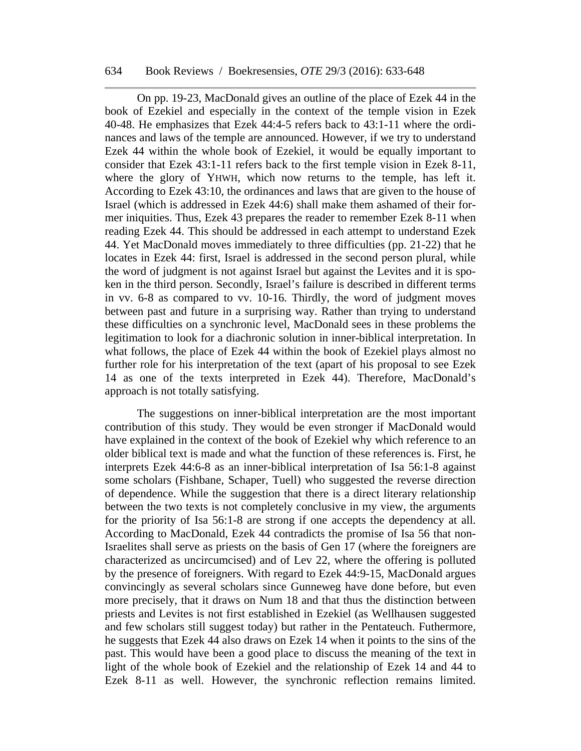## 634 Book Reviews / Boekresensies, *OTE* 29/3 (2016): 633-648

On pp. 19-23, MacDonald gives an outline of the place of Ezek 44 in the book of Ezekiel and especially in the context of the temple vision in Ezek 40-48. He emphasizes that Ezek 44:4-5 refers back to 43:1-11 where the ordinances and laws of the temple are announced. However, if we try to understand Ezek 44 within the whole book of Ezekiel, it would be equally important to consider that Ezek 43:1-11 refers back to the first temple vision in Ezek 8-11, where the glory of YHWH, which now returns to the temple, has left it. According to Ezek 43:10, the ordinances and laws that are given to the house of Israel (which is addressed in Ezek 44:6) shall make them ashamed of their former iniquities. Thus, Ezek 43 prepares the reader to remember Ezek 8-11 when reading Ezek 44. This should be addressed in each attempt to understand Ezek 44. Yet MacDonald moves immediately to three difficulties (pp. 21-22) that he locates in Ezek 44: first, Israel is addressed in the second person plural, while the word of judgment is not against Israel but against the Levites and it is spoken in the third person. Secondly, Israel's failure is described in different terms in vv. 6-8 as compared to vv. 10-16. Thirdly, the word of judgment moves between past and future in a surprising way. Rather than trying to understand these difficulties on a synchronic level, MacDonald sees in these problems the legitimation to look for a diachronic solution in inner-biblical interpretation. In what follows, the place of Ezek 44 within the book of Ezekiel plays almost no further role for his interpretation of the text (apart of his proposal to see Ezek 14 as one of the texts interpreted in Ezek 44). Therefore, MacDonald's approach is not totally satisfying.

The suggestions on inner-biblical interpretation are the most important contribution of this study. They would be even stronger if MacDonald would have explained in the context of the book of Ezekiel why which reference to an older biblical text is made and what the function of these references is. First, he interprets Ezek 44:6-8 as an inner-biblical interpretation of Isa 56:1-8 against some scholars (Fishbane, Schaper, Tuell) who suggested the reverse direction of dependence. While the suggestion that there is a direct literary relationship between the two texts is not completely conclusive in my view, the arguments for the priority of Isa 56:1-8 are strong if one accepts the dependency at all. According to MacDonald, Ezek 44 contradicts the promise of Isa 56 that non-Israelites shall serve as priests on the basis of Gen 17 (where the foreigners are characterized as uncircumcised) and of Lev 22, where the offering is polluted by the presence of foreigners. With regard to Ezek 44:9-15, MacDonald argues convincingly as several scholars since Gunneweg have done before, but even more precisely, that it draws on Num 18 and that thus the distinction between priests and Levites is not first established in Ezekiel (as Wellhausen suggested and few scholars still suggest today) but rather in the Pentateuch. Futhermore, he suggests that Ezek 44 also draws on Ezek 14 when it points to the sins of the past. This would have been a good place to discuss the meaning of the text in light of the whole book of Ezekiel and the relationship of Ezek 14 and 44 to Ezek 8-11 as well. However, the synchronic reflection remains limited.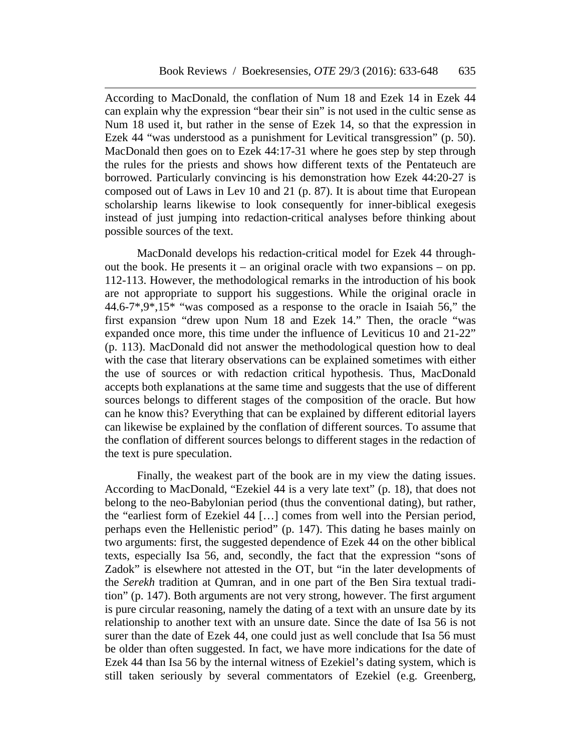According to MacDonald, the conflation of Num 18 and Ezek 14 in Ezek 44 can explain why the expression "bear their sin" is not used in the cultic sense as Num 18 used it, but rather in the sense of Ezek 14, so that the expression in Ezek 44 "was understood as a punishment for Levitical transgression" (p. 50). MacDonald then goes on to Ezek 44:17-31 where he goes step by step through the rules for the priests and shows how different texts of the Pentateuch are borrowed. Particularly convincing is his demonstration how Ezek 44:20-27 is composed out of Laws in Lev 10 and 21 (p. 87). It is about time that European scholarship learns likewise to look consequently for inner-biblical exegesis instead of just jumping into redaction-critical analyses before thinking about possible sources of the text.

MacDonald develops his redaction-critical model for Ezek 44 throughout the book. He presents it – an original oracle with two expansions – on pp. 112-113. However, the methodological remarks in the introduction of his book are not appropriate to support his suggestions. While the original oracle in 44.6-7\*,9\*,15\* "was composed as a response to the oracle in Isaiah 56," the first expansion "drew upon Num 18 and Ezek 14." Then, the oracle "was expanded once more, this time under the influence of Leviticus 10 and 21-22" (p. 113). MacDonald did not answer the methodological question how to deal with the case that literary observations can be explained sometimes with either the use of sources or with redaction critical hypothesis. Thus, MacDonald accepts both explanations at the same time and suggests that the use of different sources belongs to different stages of the composition of the oracle. But how can he know this? Everything that can be explained by different editorial layers can likewise be explained by the conflation of different sources. To assume that the conflation of different sources belongs to different stages in the redaction of the text is pure speculation.

Finally, the weakest part of the book are in my view the dating issues. According to MacDonald, "Ezekiel 44 is a very late text" (p. 18), that does not belong to the neo-Babylonian period (thus the conventional dating), but rather, the "earliest form of Ezekiel 44 […] comes from well into the Persian period, perhaps even the Hellenistic period" (p. 147). This dating he bases mainly on two arguments: first, the suggested dependence of Ezek 44 on the other biblical texts, especially Isa 56, and, secondly, the fact that the expression "sons of Zadok" is elsewhere not attested in the OT, but "in the later developments of the *Serekh* tradition at Qumran, and in one part of the Ben Sira textual tradition" (p. 147). Both arguments are not very strong, however. The first argument is pure circular reasoning, namely the dating of a text with an unsure date by its relationship to another text with an unsure date. Since the date of Isa 56 is not surer than the date of Ezek 44, one could just as well conclude that Isa 56 must be older than often suggested. In fact, we have more indications for the date of Ezek 44 than Isa 56 by the internal witness of Ezekiel's dating system, which is still taken seriously by several commentators of Ezekiel (e.g. Greenberg,